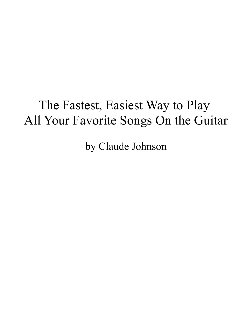# The Fastest, Easiest Way to Play All Your Favorite Songs On the Guitar

by Claude Johnson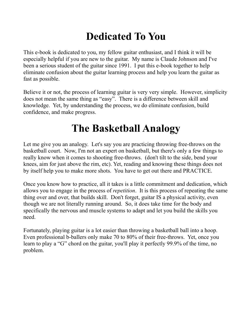## **Dedicated To You**

This e-book is dedicated to you, my fellow guitar enthusiast, and I think it will be especially helpful if you are new to the guitar. My name is Claude Johnson and I've been a serious student of the guitar since 1991. I put this e-book together to help eliminate confusion about the guitar learning process and help you learn the guitar as fast as possible.

Believe it or not, the process of learning guitar is very very simple. However, simplicity does not mean the same thing as "easy". There is a difference between skill and knowledge. Yet, by understanding the process, we do eliminate confusion, build confidence, and make progress.

#### **The Basketball Analogy**

Let me give you an analogy. Let's say you are practicing throwing free-throws on the basketball court. Now, I'm not an expert on basketball, but there's only a few things to really know when it comes to shooting free-throws. (don't tilt to the side, bend your knees, aim for just above the rim, etc). Yet, reading and knowing these things does not by itself help you to make more shots. You have to get out there and PRACTICE.

Once you know how to practice, all it takes is a little commitment and dedication, which allows you to engage in the process of *repetition*. It is this process of repeating the same thing over and over, that builds skill. Don't forget, guitar IS a physical activity, even though we are not literally running around. So, it does take time for the body and specifically the nervous and muscle systems to adapt and let you build the skills you need.

Fortunately, playing guitar is a lot easier than throwing a basketball ball into a hoop. Even professional b-ballers only make 70 to 80% of their free-throws. Yet, once you learn to play a "G" chord on the guitar, you'll play it perfectly 99.9% of the time, no problem.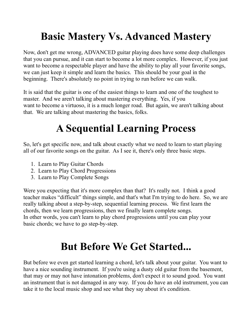# **Basic Mastery Vs. Advanced Mastery**

Now, don't get me wrong, ADVANCED guitar playing does have some deep challenges that you can pursue, and it can start to become a lot more complex. However, if you just want to become a respectable player and have the ability to play all your favorite songs, we can just keep it simple and learn the basics. This should be your goal in the beginning. There's absolutely no point in trying to run before we can walk.

It is said that the guitar is one of the easiest things to learn and one of the toughest to master. And we aren't talking about mastering everything. Yes, if you want to become a virtuoso, it is a much longer road. But again, we aren't talking about that. We are talking about mastering the basics, folks.

# **A Sequential Learning Process**

So, let's get specific now, and talk about exactly what we need to learn to start playing all of our favorite songs on the guitar. As I see it, there's only three basic steps.

- 1. Learn to Play Guitar Chords
- 2. Learn to Play Chord Progressions
- 3. Learn to Play Complete Songs

Were you expecting that it's more complex than that? It's really not. I think a good teacher makes "difficult" things simple, and that's what I'm trying to do here. So, we are really talking about a step-by-step, sequential learning process. We first learn the chords, then we learn progressions, then we finally learn complete songs. In other words, you can't learn to play chord progressions until you can play your basic chords; we have to go step-by-step.

#### **But Before We Get Started...**

But before we even get started learning a chord, let's talk about your guitar. You want to have a nice sounding instrument. If you're using a dusty old guitar from the basement, that may or may not have intonation problems, don't expect it to sound good. You want an instrument that is not damaged in any way. If you do have an old instrument, you can take it to the local music shop and see what they say about it's condition.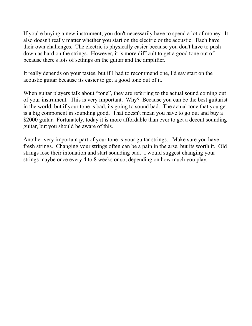If you're buying a new instrument, you don't necessarily have to spend a lot of money. It also doesn't really matter whether you start on the electric or the acoustic. Each have their own challenges. The electric is physically easier because you don't have to push down as hard on the strings. However, it is more difficult to get a good tone out of because there's lots of settings on the guitar and the amplifier.

It really depends on your tastes, but if I had to recommend one, I'd say start on the acoustic guitar because its easier to get a good tone out of it.

When guitar players talk about "tone", they are referring to the actual sound coming out of your instrument. This is very important. Why? Because you can be the best guitarist in the world, but if your tone is bad, its going to sound bad. The actual tone that you get is a big component in sounding good. That doesn't mean you have to go out and buy a \$2000 guitar. Fortunately, today it is more affordable than ever to get a decent sounding guitar, but you should be aware of this.

Another very important part of your tone is your guitar strings. Make sure you have fresh strings. Changing your strings often can be a pain in the arse, but its worth it. Old strings lose their intonation and start sounding bad. I would suggest changing your strings maybe once every 4 to 8 weeks or so, depending on how much you play.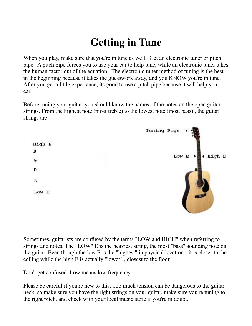# **Getting in Tune**

When you play, make sure that you're in tune as well. Get an electronic tuner or pitch pipe. A pitch pipe forces you to use your ear to help tune, while an electronic tuner takes the human factor out of the equation. The electronic tuner method of tuning is the best in the beginning because it takes the guesswork away, and you KNOW you're in tune. After you get a little experience, its good to use a pitch pipe because it will help your ear.

Before tuning your guitar, you should know the names of the notes on the open guitar strings. From the highest note (most treble) to the lowest note (most bass) , the guitar strings are:



Sometimes, guitarists are confused by the terms "LOW and HIGH" when referring to strings and notes. The "LOW" E is the heaviest string, the most "bass" sounding note on the guitar. Even though the low E is the "highest" in physical location - it is closer to the ceiling while the high E is actually "lower" , closest to the floor.

Don't get confused. Low means low frequency.

Please be careful if you're new to this. Too much tension can be dangerous to the guitar neck, so make sure you have the right strings on your guitar, make sure you're tuning to the right pitch, and check with your local music store if you're in doubt.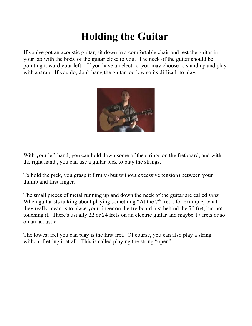# **Holding the Guitar**

If you've got an acoustic guitar, sit down in a comfortable chair and rest the guitar in your lap with the body of the guitar close to you. The neck of the guitar should be pointing toward your left. If you have an electric, you may choose to stand up and play with a strap. If you do, don't hang the guitar too low so its difficult to play.



With your left hand, you can hold down some of the strings on the fretboard, and with the right hand , you can use a guitar pick to play the strings.

To hold the pick, you grasp it firmly (but without excessive tension) between your thumb and first finger.

The small pieces of metal running up and down the neck of the guitar are called *frets.* When guitarists talking about playing something "At the  $7<sup>th</sup>$  fret", for example, what they really mean is to place your finger on the fretboard just behind the  $7<sup>th</sup>$  fret, but not touching it. There's usually 22 or 24 frets on an electric guitar and maybe 17 frets or so on an acoustic.

The lowest fret you can play is the first fret. Of course, you can also play a string without fretting it at all. This is called playing the string "open".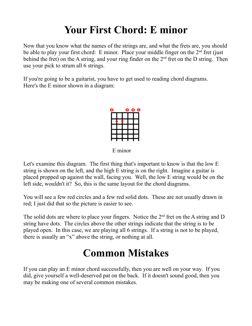## **Your First Chord: E minor**

Now that you know what the names of the strings are, and what the frets are, you should be able to play your first chord: E minor. Place your middle finger on the  $2<sup>nd</sup>$  fret (just behind the fret) on the A string, and your ring finder on the  $2<sup>nd</sup>$  fret on the D string. Then use your pick to strum all 6 strings.

If you're going to be a guitarist, you have to get used to reading chord diagrams. Here's the E minor shown in a diagram:



E minor

Let's examine this diagram. The first thing that's important to know is that the low E string is shown on the left, and the high E string is on the right. Imagine a guitar is placed propped up against the wall, facing you. Well, the low E string would be on the left side, wouldn't it? So, this is the same layout for the chord diagrams.

You will see a few red circles and a few red solid dots. These are not usually drawn in red; I just did that so the picture is easier to see.

The solid dots are where to place your fingers. Notice the  $2<sup>nd</sup>$  fret on the A string and D string have dots. The circles above the other strings indicate that the string is to be played open. In this case, we are playing all 6 strings. If a string is not to be played, there is usually an "x" above the string, or nothing at all.

# **Common Mistakes**

If you can play an E minor chord successfully, then you are well on your way. If you did, give yourself a well-deserved pat on the back. If it doesn't sound good, then you may be making one of several common mistakes.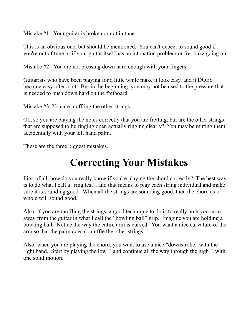Mistake #1: Your guitar is broken or not in tune.

This is an obvious one, but should be mentioned. You can't expect to sound good if you're out of tune or if your guitar itself has an intonation problem or fret buzz going on.

Mistake #2: You are not pressing down hard enough with your fingers.

Guitarists who have been playing for a little while make it look easy, and it DOES become easy after a bit. But in the beginning, you may not be used to the pressure that is needed to push down hard on the fretboard.

Mistake #3: You are muffling the other strings.

Ok, so you are playing the notes correctly that you are fretting, but are the other strings that are supposed to be ringing open actually ringing clearly? You may be muting them accidentally with your left hand palm.

These are the three biggest mistakes.

#### **Correcting Your Mistakes**

First of all, how do you really know if you're playing the chord correctly? The best way is to do what I call a "ring test", and that means to play each string individual and make sure it is sounding good. When all the strings are sounding good, then the chord as a whole will sound good.

Also, if you are muffling the strings, a good technique to do is to really arch your arm away from the guitar in what I call the "bowling ball" grip. Imagine you are holding a bowling ball. Notice the way the entire arm is curved. You want a nice curvature of the arm so that the palm doesn't muffle the other strings.

Also, when you are playing the chord, you want to use a nice "downstroke" with the right hand. Start by playing the low E and continue all the way through the high E with one solid motion.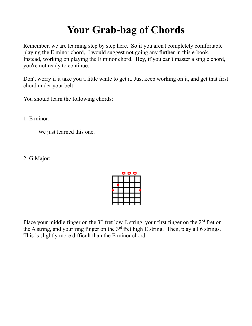# **Your Grab-bag of Chords**

Remember, we are learning step by step here. So if you aren't completely comfortable playing the E minor chord, I would suggest not going any further in this e-book. Instead, working on playing the E minor chord. Hey, if you can't master a single chord, you're not ready to continue.

Don't worry if it take you a little while to get it. Just keep working on it, and get that first chord under your belt.

You should learn the following chords:

1. E minor.

We just learned this one.

2. G Major:

| ¢<br>⊏<br>⊏ |  |  |  |  |  |
|-------------|--|--|--|--|--|
|             |  |  |  |  |  |
|             |  |  |  |  |  |
|             |  |  |  |  |  |
|             |  |  |  |  |  |
|             |  |  |  |  |  |

Place your middle finger on the  $3<sup>rd</sup>$  fret low E string, your first finger on the  $2<sup>nd</sup>$  fret on the A string, and your ring finger on the  $3<sup>rd</sup>$  fret high E string. Then, play all 6 strings. This is slightly more difficult than the E minor chord.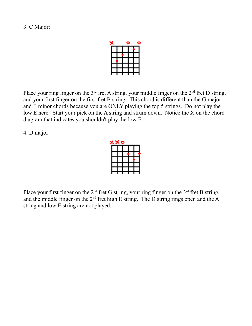3. C Major:



Place your ring finger on the  $3<sup>rd</sup>$  fret A string, your middle finger on the  $2<sup>nd</sup>$  fret D string, and your first finger on the first fret B string. This chord is different than the G major and E minor chords because you are ONLY playing the top 5 strings. Do not play the low E here. Start your pick on the A string and strum down. Notice the X on the chord diagram that indicates you shouldn't play the low E.

4. D major:

Place your first finger on the  $2<sup>nd</sup>$  fret G string, your ring finger on the  $3<sup>rd</sup>$  fret B string, and the middle finger on the  $2<sup>nd</sup>$  fret high E string. The D string rings open and the A string and low E string are not played.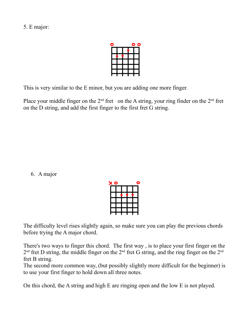5. E major:



This is very similar to the E minor, but you are adding one more finger.

Place your middle finger on the  $2<sup>nd</sup>$  fret on the A string, your ring finder on the  $2<sup>nd</sup>$  fret on the D string, and add the first finger to the first fret G string.

6. A major

|  | π |  |  |
|--|---|--|--|
|  |   |  |  |
|  |   |  |  |
|  |   |  |  |
|  |   |  |  |
|  |   |  |  |

The difficulty level rises slightly again, so make sure you can play the previous chords before trying the A major chord.

There's two ways to finger this chord. The first way , is to place your first finger on the  $2<sup>nd</sup>$  fret D string, the middle finger on the  $2<sup>nd</sup>$  fret G string, and the ring finger on the  $2<sup>nd</sup>$ fret B string.

The second more common way, (but possibly slightly more difficult for the beginner) is to use your first finger to hold down all three notes.

On this chord, the A string and high E are ringing open and the low E is not played.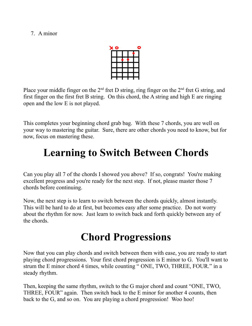7. A minor



Place your middle finger on the  $2<sup>nd</sup>$  fret D string, ring finger on the  $2<sup>nd</sup>$  fret G string, and first finger on the first fret B string. On this chord, the A string and high E are ringing open and the low E is not played.

This completes your beginning chord grab bag. With these 7 chords, you are well on your way to mastering the guitar. Sure, there are other chords you need to know, but for now, focus on mastering these.

#### **Learning to Switch Between Chords**

Can you play all 7 of the chords I showed you above? If so, congrats! You're making excellent progress and you're ready for the next step. If not, please master those 7 chords before continuing.

Now, the next step is to learn to switch between the chords quickly, almost instantly. This will be hard to do at first, but becomes easy after some practice. Do not worry about the rhythm for now. Just learn to switch back and forth quickly between any of the chords.

# **Chord Progressions**

Now that you can play chords and switch between them with ease, you are ready to start playing chord progressions. Your first chord progression is E minor to G. You'll want to strum the E minor chord 4 times, while counting " ONE, TWO, THREE, FOUR." in a steady rhythm.

Then, keeping the same rhythm, switch to the G major chord and count "ONE, TWO, THREE, FOUR" again. Then switch back to the E minor for another 4 counts, then back to the G, and so on. You are playing a chord progression! Woo hoo!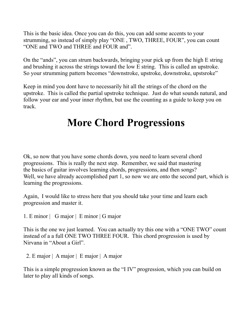This is the basic idea. Once you can do this, you can add some accents to your strumming, so instead of simply play "ONE , TWO, THREE, FOUR", you can count "ONE and TWO and THREE and FOUR and".

On the "ands", you can strum backwards, bringing your pick up from the high E string and brushing it across the strings toward the low E string. This is called an upstroke. So your strumming pattern becomes "downstroke, upstroke, downstroke, upstsroke"

Keep in mind you dont have to necessarily hit all the strings of the chord on the upstroke. This is called the partial upstroke technique. Just do what sounds natural, and follow your ear and your inner rhythm, but use the counting as a guide to keep you on track.

#### **More Chord Progressions**

Ok, so now that you have some chords down, you need to learn several chord progressions. This is really the next step. Remember, we said that mastering the basics of guitar involves learning chords, progressions, and then songs? Well, we have already accomplished part 1, so now we are onto the second part, which is learning the progressions.

Again, I would like to stress here that you should take your time and learn each progression and master it.

1. E minor | G major | E minor | G major

This is the one we just learned. You can actually try this one with a "ONE TWO" count instead of a a full ONE TWO THREE FOUR. This chord progression is used by Nirvana in "About a Girl".

2. E major | A major | E major | A major

This is a simple progression known as the "I IV" progression, which you can build on later to play all kinds of songs.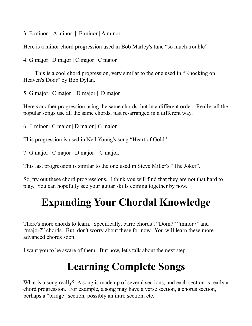3. E minor | A minor | E minor | A minor

Here is a minor chord progression used in Bob Marley's tune "so much trouble"

4. G major | D major | C major | C major

 This is a cool chord progression, very similar to the one used in "Knocking on Heaven's Door" by Bob Dylan.

5. G major | C major | D major | D major

Here's another progression using the same chords, but in a different order. Really, all the popular songs use all the same chords, just re-arranged in a different way.

6. E minor | C major | D major | G major

This progression is used in Neil Young's song "Heart of Gold".

7. G major | C major | D major | C major.

This last progression is similar to the one used in Steve Miller's "The Joker".

So, try out these chord progressions. I think you will find that they are not that hard to play. You can hopefully see your guitar skills coming together by now.

# **Expanding Your Chordal Knowledge**

There's more chords to learn. Specifically, barre chords , "Dom7" "minor7" and "major7" chords. But, don't worry about these for now. You will learn these more advanced chords soon.

I want you to be aware of them. But now, let's talk about the next step.

# **Learning Complete Songs**

What is a song really? A song is made up of several sections, and each section is really a chord progression. For example, a song may have a verse section, a chorus section, perhaps a "bridge" section, possibly an intro section, etc.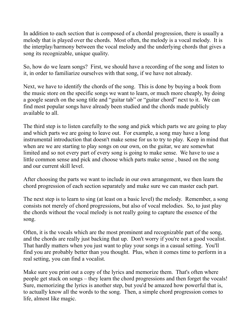In addition to each section that is composed of a chordal progression, there is usually a melody that is played over the chords. Most often, the melody is a vocal melody. It is the interplay/harmony between the vocal melody and the underlying chords that gives a song its recognizable, unique quality.

So, how do we learn songs? First, we should have a recording of the song and listen to it, in order to familiarize ourselves with that song, if we have not already.

Next, we have to identify the chords of the song. This is done by buying a book from the music store on the specific songs we want to learn, or much more cheaply, by doing a google search on the song title and "guitar tab" or "guitar chord" next to it. We can find most popular songs have already been studied and the chords made publicly available to all.

The third step is to listen carefully to the song and pick which parts we are going to play and which parts we are going to leave out. For example, a song may have a long instrumental introduction that doesn't make sense for us to try to play. Keep in mind that when are we are starting to play songs on our own, on the guitar, we are somewhat limited and so not every part of every song is going to make sense. We have to use a little common sense and pick and choose which parts make sense , based on the song and our current skill level.

After choosing the parts we want to include in our own arrangement, we then learn the chord progression of each section separately and make sure we can master each part.

The next step is to learn to sing (at least on a basic level) the melody. Remember, a song consists not merely of chord progressions, but also of vocal melodies. So, to just play the chords without the vocal melody is not really going to capture the essence of the song.

Often, it is the vocals which are the most prominent and recognizable part of the song, and the chords are really just backing that up. Don't worry if you're not a good vocalist. That hardly matters when you just want to play your songs in a casual setting. You'll find you are probably better than you thought. Plus, when it comes time to perform in a real setting, you can find a vocalist.

Make sure you print out a copy of the lyrics and memorize them. That's often where people get stuck on songs – they learn the chord progressions and then forget the vocals! Sure, memorizing the lyrics is another step, but you'd be amazed how powerful that is, to actually know all the words to the song. Then, a simple chord progression comes to life, almost like magic.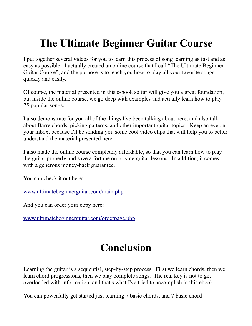# **The Ultimate Beginner Guitar Course**

I put together several videos for you to learn this process of song learning as fast and as easy as possible. I actually created an online course that I call "The Ultimate Beginner Guitar Course", and the purpose is to teach you how to play all your favorite songs quickly and easily.

Of course, the material presented in this e-book so far will give you a great foundation, but inside the online course, we go deep with examples and actually learn how to play 75 popular songs.

I also demonstrate for you all of the things I've been talking about here, and also talk about Barre chords, picking patterns, and other important guitar topics. Keep an eye on your inbox, because I'll be sending you some cool video clips that will help you to better understand the material presented here.

I also made the online course completely affordable, so that you can learn how to play the guitar properly and save a fortune on private guitar lessons. In addition, it comes with a generous money-back guarantee.

You can check it out here:

[www.ultimatebeginnerguitar.com/main.php](http://www.ultimatebeginnerguitar.com/main.php)

And you can order your copy here:

[www.ultimatebeginnerguitar.com/orderpage.php](http://www.ultimatebeginnerguitar.com/orderpage.php)

#### **Conclusion**

Learning the guitar is a sequential, step-by-step process. First we learn chords, then we learn chord progressions, then we play complete songs. The real key is not to get overloaded with information, and that's what I've tried to accomplish in this ebook.

You can powerfully get started just learning 7 basic chords, and 7 basic chord